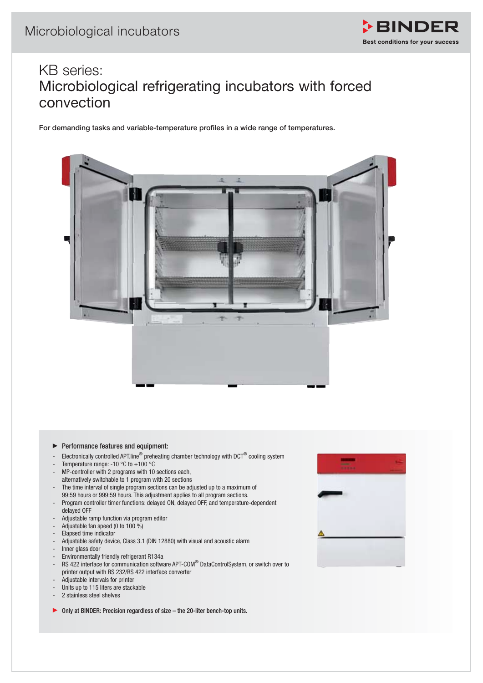

## KB series: Microbiological refrigerating incubators with forced convection

For demanding tasks and variable-temperature profiles in a wide range of temperatures.



- $\blacktriangleright$  Performance features and equipment:
- Electronically controlled APT.line<sup>®</sup> preheating chamber technology with DCT<sup>®</sup> cooling system
- Temperature range: -10  $^{\circ}$ C to +100  $^{\circ}$ C
- MP-controller with 2 programs with 10 sections each,
- alternatively switchable to 1 program with 20 sections The time interval of single program sections can be adjusted up to a maximum of 99:59 hours or 999:59 hours. This adjustment applies to all program sections.
- Program controller timer functions: delayed ON, delayed OFF, and temperature-dependent delayed OFF
- Adjustable ramp function via program editor
- Adjustable fan speed (0 to 100 %)
- Elapsed time indicator
- Adjustable safety device, Class 3.1 (DIN 12880) with visual and acoustic alarm
- Inner glass door
- Environmentally friendly refrigerant R134a
- RS 422 interface for communication software APT-COM® DataControlSystem, or switch over to printer output with RS 232/RS 422 interface converter
- Adjustable intervals for printer
- Units up to 115 liters are stackable
- 2 stainless steel shelves

▶ Only at BINDER: Precision regardless of size – the 20-liter bench-top units.